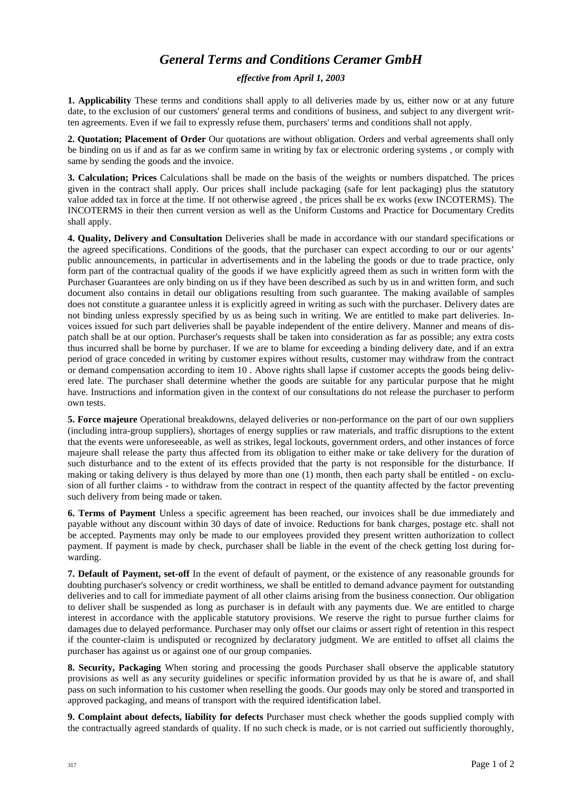## *General Terms and Conditions Ceramer GmbH*

## *effective from April 1, 2003*

**1. Applicability** These terms and conditions shall apply to all deliveries made by us, either now or at any future date, to the exclusion of our customers' general terms and conditions of business, and subject to any divergent written agreements. Even if we fail to expressly refuse them, purchasers' terms and conditions shall not apply.

**2. Quotation; Placement of Order** Our quotations are without obligation. Orders and verbal agreements shall only be binding on us if and as far as we confirm same in writing by fax or electronic ordering systems , or comply with same by sending the goods and the invoice.

**3. Calculation; Prices** Calculations shall be made on the basis of the weights or numbers dispatched. The prices given in the contract shall apply. Our prices shall include packaging (safe for lent packaging) plus the statutory value added tax in force at the time. If not otherwise agreed , the prices shall be ex works (exw INCOTERMS). The INCOTERMS in their then current version as well as the Uniform Customs and Practice for Documentary Credits shall apply.

**4. Quality, Delivery and Consultation** Deliveries shall be made in accordance with our standard specifications or the agreed specifications. Conditions of the goods, that the purchaser can expect according to our or our agents' public announcements, in particular in advertisements and in the labeling the goods or due to trade practice, only form part of the contractual quality of the goods if we have explicitly agreed them as such in written form with the Purchaser Guarantees are only binding on us if they have been described as such by us in and written form, and such document also contains in detail our obligations resulting from such guarantee. The making available of samples does not constitute a guarantee unless it is explicitly agreed in writing as such with the purchaser. Delivery dates are not binding unless expressly specified by us as being such in writing. We are entitled to make part deliveries. Invoices issued for such part deliveries shall be payable independent of the entire delivery. Manner and means of dispatch shall be at our option. Purchaser's requests shall be taken into consideration as far as possible; any extra costs thus incurred shall be borne by purchaser. If we are to blame for exceeding a binding delivery date, and if an extra period of grace conceded in writing by customer expires without results, customer may withdraw from the contract or demand compensation according to item 10 . Above rights shall lapse if customer accepts the goods being delivered late. The purchaser shall determine whether the goods are suitable for any particular purpose that he might have. Instructions and information given in the context of our consultations do not release the purchaser to perform own tests.

**5. Force majeure** Operational breakdowns, delayed deliveries or non-performance on the part of our own suppliers (including intra-group suppliers), shortages of energy supplies or raw materials, and traffic disruptions to the extent that the events were unforeseeable, as well as strikes, legal lockouts, government orders, and other instances of force majeure shall release the party thus affected from its obligation to either make or take delivery for the duration of such disturbance and to the extent of its effects provided that the party is not responsible for the disturbance. If making or taking delivery is thus delayed by more than one (1) month, then each party shall be entitled - on exclusion of all further claims - to withdraw from the contract in respect of the quantity affected by the factor preventing such delivery from being made or taken.

**6. Terms of Payment** Unless a specific agreement has been reached, our invoices shall be due immediately and payable without any discount within 30 days of date of invoice. Reductions for bank charges, postage etc. shall not be accepted. Payments may only be made to our employees provided they present written authorization to collect payment. If payment is made by check, purchaser shall be liable in the event of the check getting lost during forwarding.

**7. Default of Payment, set-off** In the event of default of payment, or the existence of any reasonable grounds for doubting purchaser's solvency or credit worthiness, we shall be entitled to demand advance payment for outstanding deliveries and to call for immediate payment of all other claims arising from the business connection. Our obligation to deliver shall be suspended as long as purchaser is in default with any payments due. We are entitled to charge interest in accordance with the applicable statutory provisions. We reserve the right to pursue further claims for damages due to delayed performance. Purchaser may only offset our claims or assert right of retention in this respect if the counter-claim is undisputed or recognized by declaratory judgment. We are entitled to offset all claims the purchaser has against us or against one of our group companies.

**8. Security, Packaging** When storing and processing the goods Purchaser shall observe the applicable statutory provisions as well as any security guidelines or specific information provided by us that he is aware of, and shall pass on such information to his customer when reselling the goods. Our goods may only be stored and transported in approved packaging, and means of transport with the required identification label.

**9. Complaint about defects, liability for defects** Purchaser must check whether the goods supplied comply with the contractually agreed standards of quality. If no such check is made, or is not carried out sufficiently thoroughly,